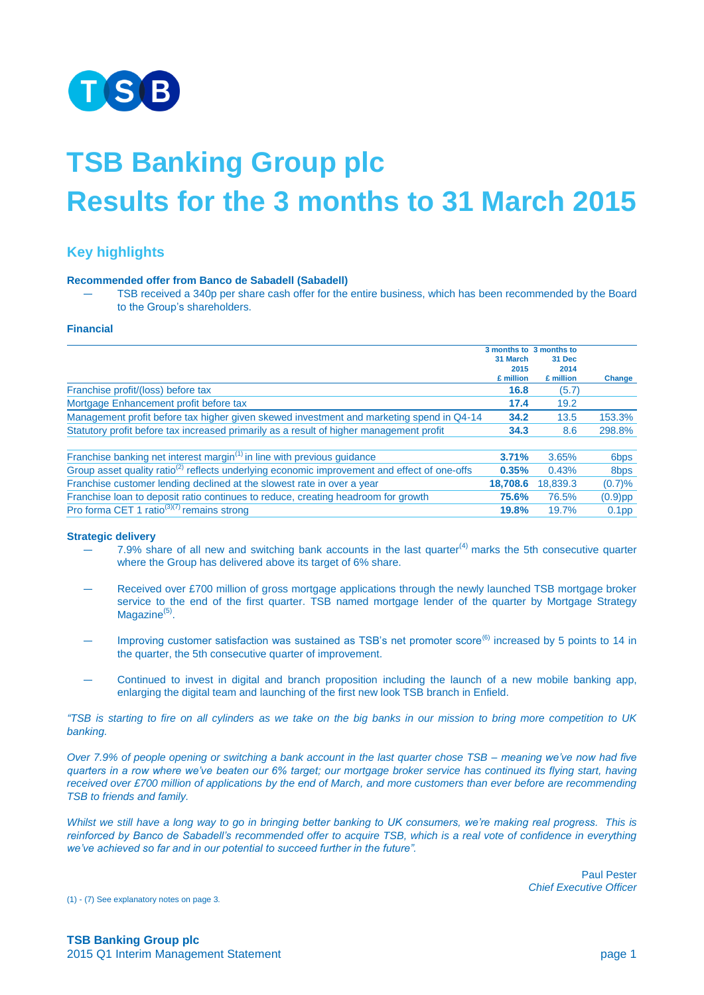

# **TSB Banking Group plc Results for the 3 months to 31 March 2015**

## **Key highlights**

#### **Recommended offer from Banco de Sabadell (Sabadell)**

— TSB received a 340p per share cash offer for the entire business, which has been recommended by the Board to the Group's shareholders.

#### **Financial**

| Franchise profit/(loss) before tax                                                                       | 31 March<br>2015<br>£ million<br>16.8 | 3 months to 3 months to<br>31 Dec<br>2014<br>£ million<br>(5.7) | Change            |
|----------------------------------------------------------------------------------------------------------|---------------------------------------|-----------------------------------------------------------------|-------------------|
| Mortgage Enhancement profit before tax                                                                   | 17.4                                  | 19.2                                                            |                   |
| Management profit before tax higher given skewed investment and marketing spend in Q4-14                 | 34.2                                  | 13.5                                                            | 153.3%            |
| Statutory profit before tax increased primarily as a result of higher management profit                  | 34.3                                  | 8.6                                                             | 298.8%            |
| Franchise banking net interest margin $(1)$ in line with previous guidance                               | 3.71%                                 | 3.65%                                                           | 6 <sub>bps</sub>  |
| Group asset quality ratio <sup>(2)</sup> reflects underlying economic improvement and effect of one-offs | 0.35%                                 | 0.43%                                                           | 8 <sub>bps</sub>  |
| Franchise customer lending declined at the slowest rate in over a year                                   | 18.708.6                              | 18,839.3                                                        | (0.7)%            |
| Franchise loan to deposit ratio continues to reduce, creating headroom for growth                        | 75.6%                                 | 76.5%                                                           | $(0.9)$ pp        |
| Pro forma CET 1 ratio <sup>(3)(7)</sup> remains strong                                                   | 19.8%                                 | 19.7%                                                           | 0.1 <sub>pp</sub> |

#### **Strategic delivery**

- $7.9\%$  share of all new and switching bank accounts in the last quarter<sup>(4)</sup> marks the 5th consecutive quarter where the Group has delivered above its target of 6% share.
- Received over £700 million of gross mortgage applications through the newly launched TSB mortgage broker service to the end of the first quarter. TSB named mortgage lender of the quarter by Mortgage Strategy Magazine<sup>(5)</sup>.
- $-$  Improving customer satisfaction was sustained as TSB's net promoter score<sup>(6)</sup> increased by 5 points to 14 in the quarter, the 5th consecutive quarter of improvement.
- Continued to invest in digital and branch proposition including the launch of a new mobile banking app, enlarging the digital team and launching of the first new look TSB branch in Enfield.

*"TSB is starting to fire on all cylinders as we take on the big banks in our mission to bring more competition to UK banking.*

*Over 7.9% of people opening or switching a bank account in the last quarter chose TSB – meaning we've now had five quarters in a row where we've beaten our 6% target; our mortgage broker service has continued its flying start, having received over £700 million of applications by the end of March, and more customers than ever before are recommending TSB to friends and family.*

*Whilst we still have a long way to go in bringing better banking to UK consumers, we're making real progress. This is reinforced by Banco de Sabadell's recommended offer to acquire TSB, which is a real vote of confidence in everything we've achieved so far and in our potential to succeed further in the future".*

> Paul Pester *Chief Executive Officer*

(1) - (7) See explanatory notes on page 3*.*

**TSB Banking Group plc** 2015 Q1 Interim Management Statement page 1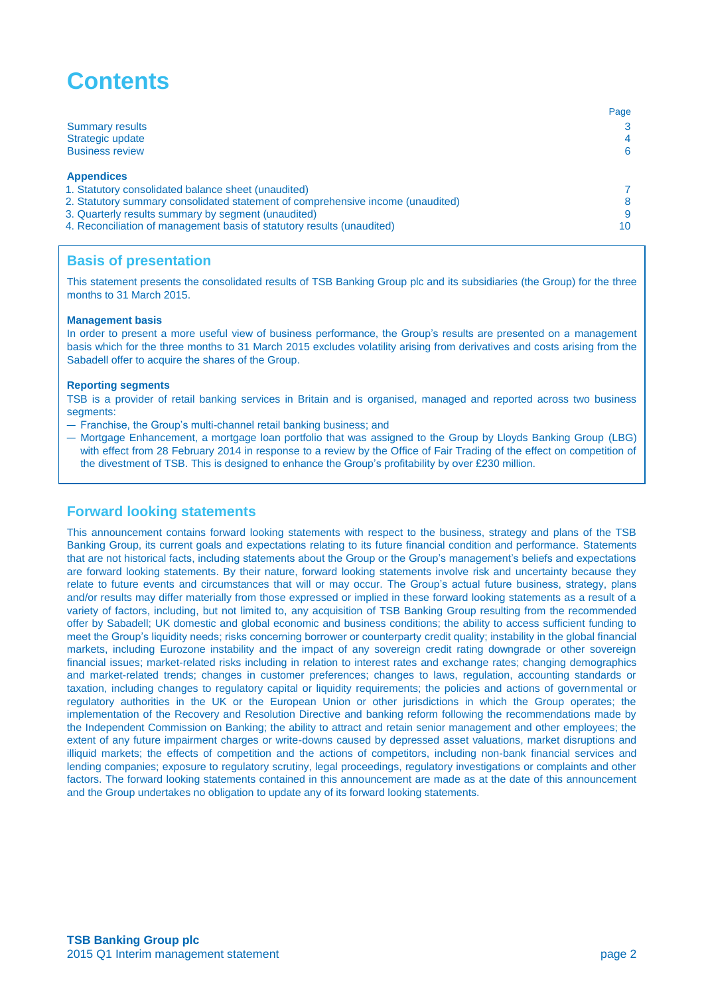# **Contents**

|                                                                                 | Page |
|---------------------------------------------------------------------------------|------|
| <b>Summary results</b>                                                          |      |
| Strategic update                                                                | 4    |
| <b>Business review</b>                                                          | 6    |
|                                                                                 |      |
| <b>Appendices</b>                                                               |      |
| 1. Statutory consolidated balance sheet (unaudited)                             |      |
| 2. Statutory summary consolidated statement of comprehensive income (unaudited) |      |
| 3. Quarterly results summary by segment (unaudited)                             |      |
| 4. Reconciliation of management basis of statutory results (unaudited)          | 10   |
|                                                                                 |      |

### **Basis of presentation**

This statement presents the consolidated results of TSB Banking Group plc and its subsidiaries (the Group) for the three months to 31 March 2015.

#### **Management basis**

In order to present a more useful view of business performance, the Group's results are presented on a management basis which for the three months to 31 March 2015 excludes volatility arising from derivatives and costs arising from the Sabadell offer to acquire the shares of the Group.

#### **Reporting segments**

TSB is a provider of retail banking services in Britain and is organised, managed and reported across two business segments:

- Franchise, the Group's multi-channel retail banking business; and
- Mortgage Enhancement, a mortgage loan portfolio that was assigned to the Group by Lloyds Banking Group (LBG) with effect from 28 February 2014 in response to a review by the Office of Fair Trading of the effect on competition of the divestment of TSB. This is designed to enhance the Group's profitability by over £230 million.

### **Forward looking statements**

This announcement contains forward looking statements with respect to the business, strategy and plans of the TSB Banking Group, its current goals and expectations relating to its future financial condition and performance. Statements that are not historical facts, including statements about the Group or the Group's management's beliefs and expectations are forward looking statements. By their nature, forward looking statements involve risk and uncertainty because they relate to future events and circumstances that will or may occur. The Group's actual future business, strategy, plans and/or results may differ materially from those expressed or implied in these forward looking statements as a result of a variety of factors, including, but not limited to, any acquisition of TSB Banking Group resulting from the recommended offer by Sabadell; UK domestic and global economic and business conditions; the ability to access sufficient funding to meet the Group's liquidity needs; risks concerning borrower or counterparty credit quality; instability in the global financial markets, including Eurozone instability and the impact of any sovereign credit rating downgrade or other sovereign financial issues; market-related risks including in relation to interest rates and exchange rates; changing demographics and market-related trends; changes in customer preferences; changes to laws, regulation, accounting standards or taxation, including changes to regulatory capital or liquidity requirements; the policies and actions of governmental or regulatory authorities in the UK or the European Union or other jurisdictions in which the Group operates; the implementation of the Recovery and Resolution Directive and banking reform following the recommendations made by the Independent Commission on Banking; the ability to attract and retain senior management and other employees; the extent of any future impairment charges or write-downs caused by depressed asset valuations, market disruptions and illiquid markets; the effects of competition and the actions of competitors, including non-bank financial services and lending companies; exposure to regulatory scrutiny, legal proceedings, regulatory investigations or complaints and other factors. The forward looking statements contained in this announcement are made as at the date of this announcement and the Group undertakes no obligation to update any of its forward looking statements.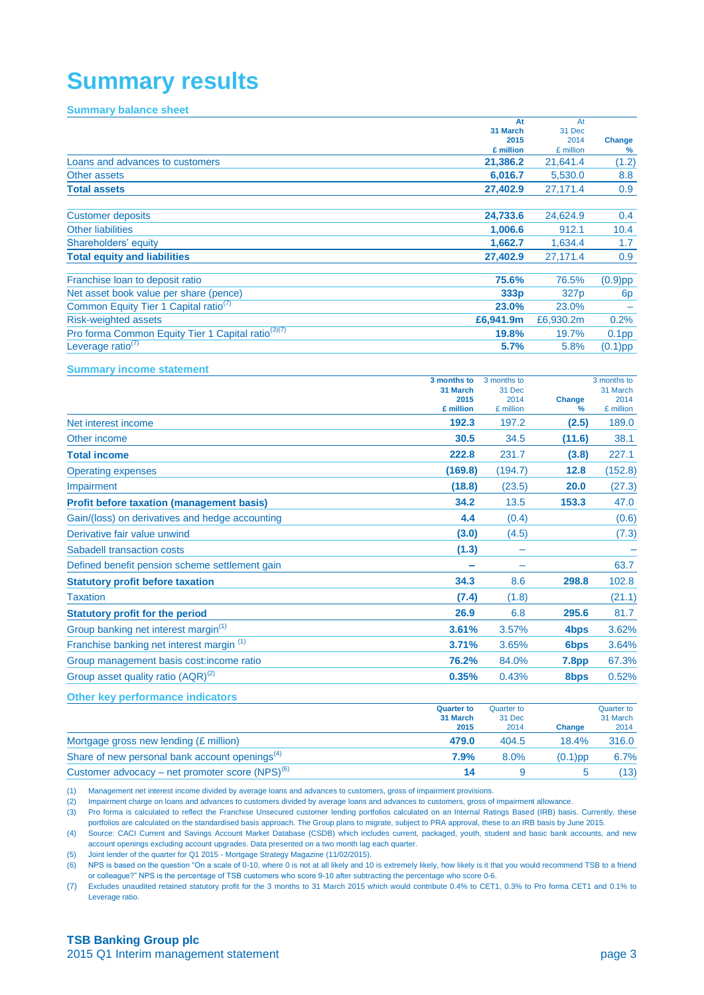# **Summary results**

#### **Summary balance sheet**

|                                                                |                  | At<br>31 March<br>2015<br>£ million | At<br>31 Dec<br>2014<br>£ million | <b>Change</b><br>% |
|----------------------------------------------------------------|------------------|-------------------------------------|-----------------------------------|--------------------|
| Loans and advances to customers                                |                  | 21,386.2                            | 21,641.4                          | (1.2)              |
| <b>Other assets</b>                                            |                  | 6,016.7                             | 5,530.0                           | 8.8                |
| <b>Total assets</b>                                            |                  | 27,402.9                            | 27,171.4                          | 0.9                |
|                                                                |                  |                                     |                                   |                    |
| <b>Customer deposits</b>                                       |                  | 24,733.6                            | 24,624.9                          | 0.4                |
| <b>Other liabilities</b>                                       |                  | 1,006.6                             | 912.1                             | 10.4               |
| Shareholders' equity                                           |                  | 1,662.7                             | 1,634.4                           | 1.7                |
| <b>Total equity and liabilities</b>                            |                  | 27,402.9                            | 27,171.4                          | 0.9                |
| Franchise loan to deposit ratio                                |                  | 75.6%                               | 76.5%                             | $(0.9)$ pp         |
| Net asset book value per share (pence)                         |                  | 333p                                | 327p                              | 6 <sub>p</sub>     |
| Common Equity Tier 1 Capital ratio <sup>(7)</sup>              |                  | 23.0%                               | 23.0%                             |                    |
| <b>Risk-weighted assets</b>                                    |                  | £6,941.9m                           | £6,930.2m                         | 0.2%               |
| Pro forma Common Equity Tier 1 Capital ratio <sup>(3)(7)</sup> |                  | 19.8%                               | 19.7%                             | 0.1 <sub>pp</sub>  |
| Leverage ratio $(7)$                                           |                  | 5.7%                                | 5.8%                              | $(0.1)$ pp         |
| <b>Summary income statement</b>                                |                  |                                     |                                   |                    |
|                                                                | 3 months to      | 3 months to                         |                                   | 3 months to        |
|                                                                | 31 March<br>2015 | 31 Dec<br>2014                      | <b>Change</b>                     | 31 March<br>2014   |
|                                                                | £ million        | £ million                           | %                                 | £ million          |
| Net interest income                                            | 192.3            | 197.2                               | (2.5)                             | 189.0              |
| Other income                                                   | 30.5             | 34.5                                | (11.6)                            | 38.1               |
| <b>Total income</b>                                            | 222.8            | 231.7                               | (3.8)                             | 227.1              |
| <b>Operating expenses</b>                                      | (169.8)          | (194.7)                             | 12.8                              | (152.8)            |
| Impairment                                                     | (18.8)           | (23.5)                              | 20.0                              | (27.3)             |
| <b>Profit before taxation (management basis)</b>               | 34.2             | 13.5                                | 153.3                             | 47.0               |
| Gain/(loss) on derivatives and hedge accounting                | 4.4              | (0.4)                               |                                   | (0.6)              |
| Derivative fair value unwind                                   | (3.0)            | (4.5)                               |                                   | (7.3)              |
| Sabadell transaction costs                                     | (1.3)            |                                     |                                   |                    |
| Defined benefit pension scheme settlement gain                 |                  |                                     |                                   | 63.7               |
| <b>Statutory profit before taxation</b>                        | 34.3             | 8.6                                 | 298.8                             | 102.8              |
| <b>Taxation</b>                                                | (7.4)            | (1.8)                               |                                   | (21.1)             |
| <b>Statutory profit for the period</b>                         | 26.9             | 6.8                                 | 295.6                             | 81.7               |
| Group banking net interest margin <sup>(1)</sup>               | 3.61%            | 3.57%                               | 4 <sub>bps</sub>                  | 3.62%              |
| Franchise banking net interest margin (1)                      | 3.71%            | 3.65%                               | 6 <sub>bps</sub>                  | 3.64%              |
| Group management basis cost: income ratio                      | 76.2%            | 84.0%                               | <b>7.8pp</b>                      | 67.3%              |
| Group asset quality ratio (AQR) <sup>(2)</sup>                 | 0.35%            | 0.43%                               | 8bps                              | 0.52%              |
| <b>Other key performance indicators</b>                        | Quarter to       | Quarter to                          |                                   | Quarter to         |

|                                                            | <b>Quarter to</b> | <b>Quarter to</b> |            | Quarter to |
|------------------------------------------------------------|-------------------|-------------------|------------|------------|
|                                                            | 31 March          | 31 Dec            |            | 31 March   |
|                                                            | 2015              | 2014              | Change     | 2014       |
| Mortgage gross new lending (£ million)                     | 479.0             | 404.5             | 18.4%      | 316.0      |
| Share of new personal bank account openings <sup>(4)</sup> | 7.9%              | 8.0%              | $(0.1)$ pp | 6.7%       |
| Customer advocacy – net promoter score $(NPS)^{(6)}$       | 14                |                   |            | (13)       |

(1) Management net interest income divided by average loans and advances to customers, gross of impairment provisions.

(2) Impairment charge on loans and advances to customers divided by average loans and advances to customers, gross of impairment allowance.

(3) Pro forma is calculated to reflect the Franchise Unsecured customer lending portfolios calculated on an Internal Ratings Based (IRB) basis. Currently, these portfolios are calculated on the standardised basis approach. The Group plans to migrate, subject to PRA approval, these to an IRB basis by June 2015.

(4) Source: CACI Current and Savings Account Market Database (CSDB) which includes current, packaged, youth, student and basic bank accounts, and new account openings excluding account upgrades. Data presented on a two month lag each quarter.

(5) Joint lender of the quarter for Q1 2015 - Mortgage Strategy Magazine (11/02/2015).

(6) NPS is based on the question "On a scale of 0-10, where 0 is not at all likely and 10 is extremely likely, how likely is it that you would recommend TSB to a friend or colleague?" NPS is the percentage of TSB customers who score 9-10 after subtracting the percentage who score 0-6.

(7) Excludes unaudited retained statutory profit for the 3 months to 31 March 2015 which would contribute 0.4% to CET1, 0.3% to Pro forma CET1 and 0.1% to Leverage ratio.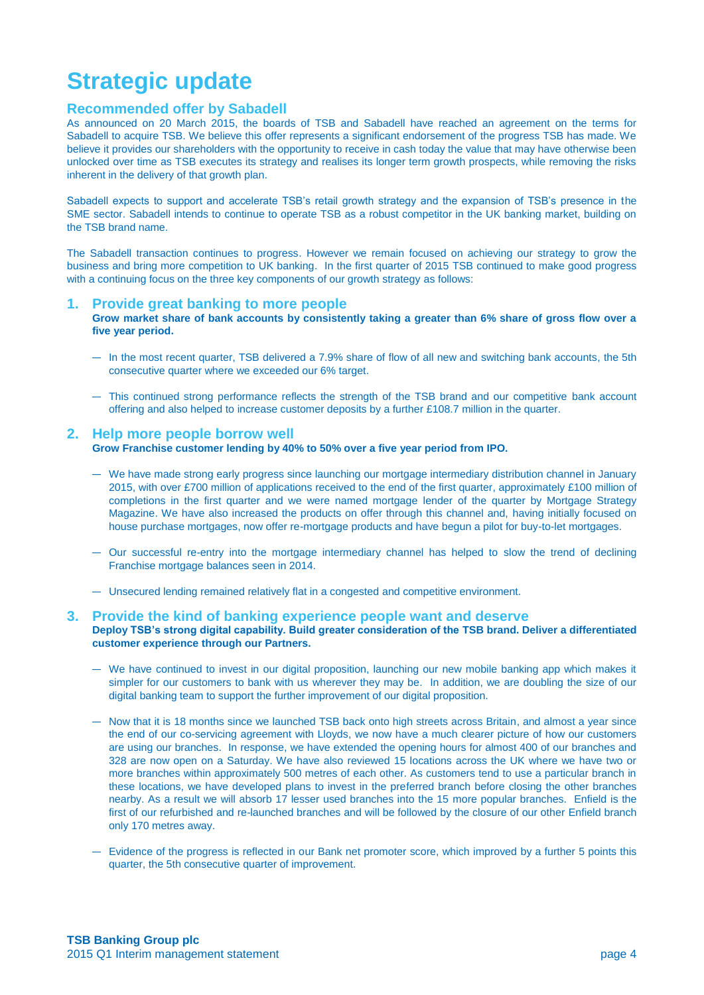# **Strategic update**

### **Recommended offer by Sabadell**

As announced on 20 March 2015, the boards of TSB and Sabadell have reached an agreement on the terms for Sabadell to acquire TSB. We believe this offer represents a significant endorsement of the progress TSB has made. We believe it provides our shareholders with the opportunity to receive in cash today the value that may have otherwise been unlocked over time as TSB executes its strategy and realises its longer term growth prospects, while removing the risks inherent in the delivery of that growth plan.

Sabadell expects to support and accelerate TSB's retail growth strategy and the expansion of TSB's presence in the SME sector. Sabadell intends to continue to operate TSB as a robust competitor in the UK banking market, building on the TSB brand name.

The Sabadell transaction continues to progress. However we remain focused on achieving our strategy to grow the business and bring more competition to UK banking. In the first quarter of 2015 TSB continued to make good progress with a continuing focus on the three key components of our growth strategy as follows:

#### **1. Provide [great banking to more people](file://global.lloydstsb.com/verde/FinancialControl_V/Shared/FIN-SHR3/Verde%20Fin%20Controller%20Team/Statutory%20Reporting/2014%20Reporting/Q4%202014/15.01.19%20Prototype%20ARA%20Draft%201.7.docx%23)**

**[Grow market share of bank accounts by consistently taking a greater than 6% share of gross flow over a](file://global.lloydstsb.com/verde/FinancialControl_V/Shared/FIN-SHR3/Verde%20Fin%20Controller%20Team/Statutory%20Reporting/2014%20Reporting/Q4%202014/15.01.19%20Prototype%20ARA%20Draft%201.7.docx%23)  [five year period.](file://global.lloydstsb.com/verde/FinancialControl_V/Shared/FIN-SHR3/Verde%20Fin%20Controller%20Team/Statutory%20Reporting/2014%20Reporting/Q4%202014/15.01.19%20Prototype%20ARA%20Draft%201.7.docx%23)** 

- In the most recent quarter, TSB delivered a 7.9% share of flow of all new and switching bank accounts, the 5th consecutive quarter where we exceeded our 6% target.
- This continued strong performance reflects the strength of the TSB brand and our competitive bank account offering and also helped to increase customer deposits by a further £108.7 million in the quarter.

#### **2. Help more people borrow well Grow Franchise customer lending by 40% to 50% over a five year period from IPO.**

- We have made strong early progress since launching our mortgage intermediary distribution channel in January 2015, with over £700 million of applications received to the end of the first quarter, approximately £100 million of completions in the first quarter and we were named mortgage lender of the quarter by Mortgage Strategy Magazine. We have also increased the products on offer through this channel and, having initially focused on house purchase mortgages, now offer re-mortgage products and have begun a pilot for buy-to-let mortgages.
- Our successful re-entry into the mortgage intermediary channel has helped to slow the trend of declining Franchise mortgage balances seen in 2014.
- Unsecured lending remained relatively flat in a congested and competitive environment.

#### **3. Provide the kind of banking experience people want and deserve Deploy TSB's strong digital capability. Build greater consideration of the TSB brand. Deliver a differentiated customer experience through our Partners.**

- We have continued to invest in our digital proposition, launching our new mobile banking app which makes it simpler for our customers to bank with us wherever they may be. In addition, we are doubling the size of our digital banking team to support the further improvement of our digital proposition.
- Now that it is 18 months since we launched TSB back onto high streets across Britain, and almost a year since the end of our co-servicing agreement with Lloyds, we now have a much clearer picture of how our customers are using our branches. In response, we have extended the opening hours for almost 400 of our branches and 328 are now open on a Saturday. We have also reviewed 15 locations across the UK where we have two or more branches within approximately 500 metres of each other. As customers tend to use a particular branch in these locations, we have developed plans to invest in the preferred branch before closing the other branches nearby. As a result we will absorb 17 lesser used branches into the 15 more popular branches. Enfield is the first of our refurbished and re-launched branches and will be followed by the closure of our other Enfield branch only 170 metres away.
- Evidence of the progress is reflected in our Bank net promoter score, which improved by a further 5 points this quarter, the 5th consecutive quarter of improvement.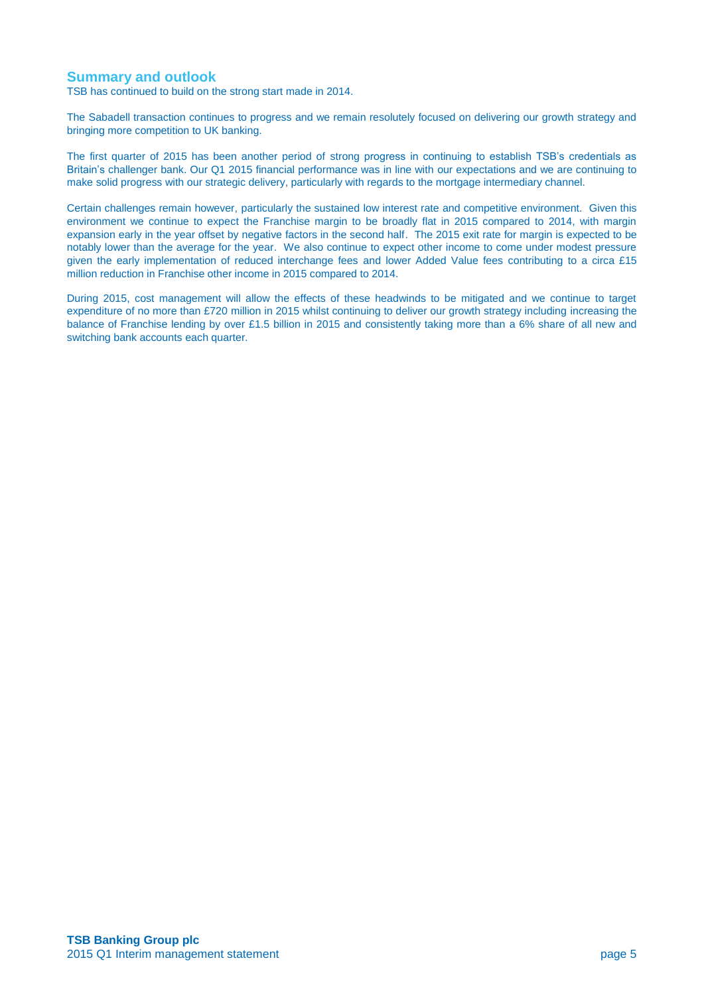### **Summary and outlook**

TSB has continued to build on the strong start made in 2014.

The Sabadell transaction continues to progress and we remain resolutely focused on delivering our growth strategy and bringing more competition to UK banking.

The first quarter of 2015 has been another period of strong progress in continuing to establish TSB's credentials as Britain's challenger bank. Our Q1 2015 financial performance was in line with our expectations and we are continuing to make solid progress with our strategic delivery, particularly with regards to the mortgage intermediary channel.

Certain challenges remain however, particularly the sustained low interest rate and competitive environment. Given this environment we continue to expect the Franchise margin to be broadly flat in 2015 compared to 2014, with margin expansion early in the year offset by negative factors in the second half. The 2015 exit rate for margin is expected to be notably lower than the average for the year. We also continue to expect other income to come under modest pressure given the early implementation of reduced interchange fees and lower Added Value fees contributing to a circa £15 million reduction in Franchise other income in 2015 compared to 2014.

During 2015, cost management will allow the effects of these headwinds to be mitigated and we continue to target expenditure of no more than £720 million in 2015 whilst continuing to deliver our growth strategy including increasing the balance of Franchise lending by over £1.5 billion in 2015 and consistently taking more than a 6% share of all new and switching bank accounts each quarter.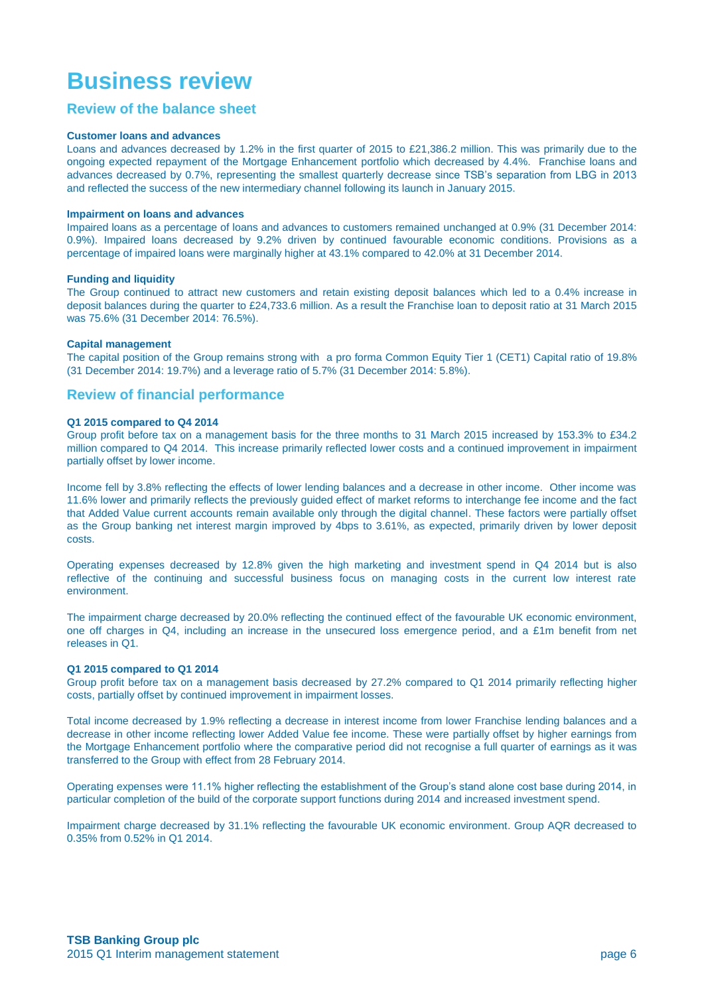# **Business review**

### **Review of the balance sheet**

#### **Customer loans and advances**

Loans and advances decreased by 1.2% in the first quarter of 2015 to £21,386.2 million. This was primarily due to the ongoing expected repayment of the Mortgage Enhancement portfolio which decreased by 4.4%. Franchise loans and advances decreased by 0.7%, representing the smallest quarterly decrease since TSB's separation from LBG in 2013 and reflected the success of the new intermediary channel following its launch in January 2015.

#### **Impairment on loans and advances**

Impaired loans as a percentage of loans and advances to customers remained unchanged at 0.9% (31 December 2014: 0.9%). Impaired loans decreased by 9.2% driven by continued favourable economic conditions. Provisions as a percentage of impaired loans were marginally higher at 43.1% compared to 42.0% at 31 December 2014.

#### **Funding and liquidity**

The Group continued to attract new customers and retain existing deposit balances which led to a 0.4% increase in deposit balances during the quarter to £24,733.6 million. As a result the Franchise loan to deposit ratio at 31 March 2015 was 75.6% (31 December 2014: 76.5%).

#### **Capital management**

The capital position of the Group remains strong with a pro forma Common Equity Tier 1 (CET1) Capital ratio of 19.8% (31 December 2014: 19.7%) and a leverage ratio of 5.7% (31 December 2014: 5.8%).

### **Review of financial performance**

#### **Q1 2015 compared to Q4 2014**

Group profit before tax on a management basis for the three months to 31 March 2015 increased by 153.3% to £34.2 million compared to Q4 2014. This increase primarily reflected lower costs and a continued improvement in impairment partially offset by lower income.

Income fell by 3.8% reflecting the effects of lower lending balances and a decrease in other income. Other income was 11.6% lower and primarily reflects the previously guided effect of market reforms to interchange fee income and the fact that Added Value current accounts remain available only through the digital channel. These factors were partially offset as the Group banking net interest margin improved by 4bps to 3.61%, as expected, primarily driven by lower deposit costs.

Operating expenses decreased by 12.8% given the high marketing and investment spend in Q4 2014 but is also reflective of the continuing and successful business focus on managing costs in the current low interest rate environment.

The impairment charge decreased by 20.0% reflecting the continued effect of the favourable UK economic environment, one off charges in Q4, including an increase in the unsecured loss emergence period, and a £1m benefit from net releases in Q1.

#### **Q1 2015 compared to Q1 2014**

Group profit before tax on a management basis decreased by 27.2% compared to Q1 2014 primarily reflecting higher costs, partially offset by continued improvement in impairment losses.

Total income decreased by 1.9% reflecting a decrease in interest income from lower Franchise lending balances and a decrease in other income reflecting lower Added Value fee income. These were partially offset by higher earnings from the Mortgage Enhancement portfolio where the comparative period did not recognise a full quarter of earnings as it was transferred to the Group with effect from 28 February 2014.

Operating expenses were 11.1% higher reflecting the establishment of the Group's stand alone cost base during 2014, in particular completion of the build of the corporate support functions during 2014 and increased investment spend.

Impairment charge decreased by 31.1% reflecting the favourable UK economic environment. Group AQR decreased to 0.35% from 0.52% in Q1 2014.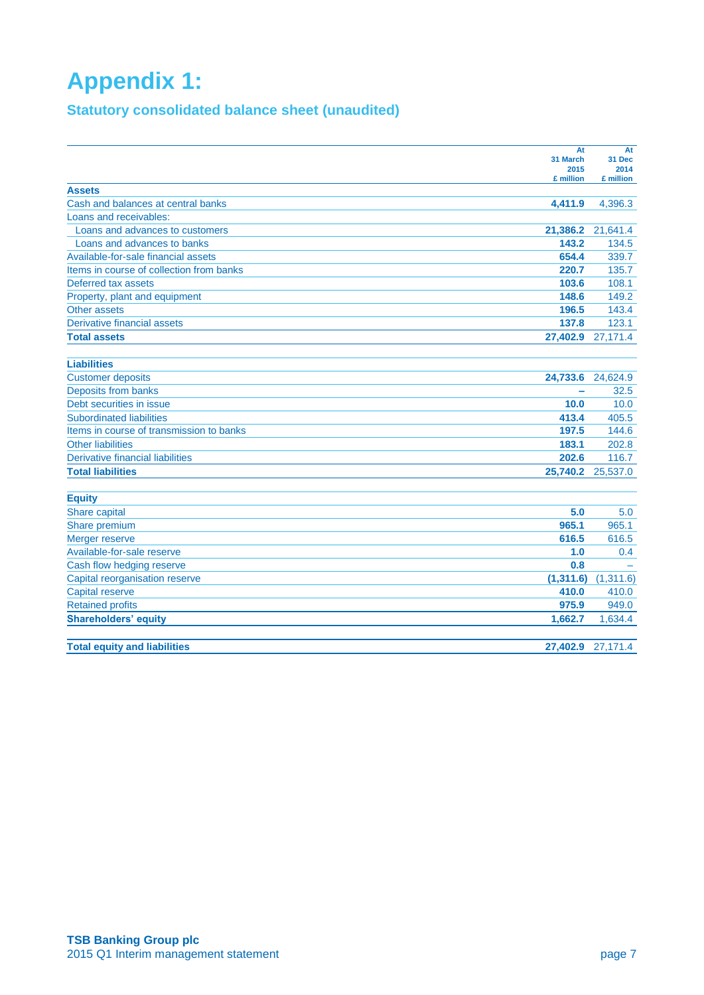# **Appendix 1:**

## **Statutory consolidated balance sheet (unaudited)**

|                                          | At               | At                |
|------------------------------------------|------------------|-------------------|
|                                          | 31 March<br>2015 | 31 Dec<br>2014    |
|                                          | £ million        | £ million         |
| <b>Assets</b>                            |                  |                   |
| Cash and balances at central banks       | 4,411.9          | 4,396.3           |
| Loans and receivables:                   |                  |                   |
| Loans and advances to customers          | 21,386.2         | 21,641.4          |
| Loans and advances to banks              | 143.2            | 134.5             |
| Available-for-sale financial assets      | 654.4            | 339.7             |
| Items in course of collection from banks | 220.7            | 135.7             |
| Deferred tax assets                      | 103.6            | 108.1             |
| Property, plant and equipment            | 148.6            | 149.2             |
| Other assets                             | 196.5            | 143.4             |
| Derivative financial assets              | 137.8            | 123.1             |
| <b>Total assets</b>                      |                  | 27,402.9 27,171.4 |
|                                          |                  |                   |
| <b>Liabilities</b>                       |                  |                   |
| <b>Customer deposits</b>                 | 24,733.6         | 24,624.9          |
| Deposits from banks                      | -                | 32.5              |
| Debt securities in issue                 | 10.0             | 10.0              |
| <b>Subordinated liabilities</b>          | 413.4            | 405.5             |
| Items in course of transmission to banks | 197.5            | 144.6             |
| <b>Other liabilities</b>                 | 183.1            | 202.8             |
| <b>Derivative financial liabilities</b>  | 202.6            | 116.7             |
| <b>Total liabilities</b>                 | 25,740.2         | 25,537.0          |
|                                          |                  |                   |
| <b>Equity</b>                            |                  |                   |
| Share capital                            | 5.0              | 5.0               |
| Share premium                            | 965.1            | 965.1             |
| Merger reserve                           | 616.5            | 616.5             |
| Available-for-sale reserve               | 1.0              | 0.4               |
| Cash flow hedging reserve                | 0.8              |                   |
| Capital reorganisation reserve           | (1,311.6)        | (1,311.6)         |
| <b>Capital reserve</b>                   | 410.0            | 410.0             |
| <b>Retained profits</b>                  | 975.9            | 949.0             |
| <b>Shareholders' equity</b>              | 1.662.7          | 1,634.4           |
|                                          |                  |                   |
| <b>Total equity and liabilities</b>      |                  | 27,402.9 27,171.4 |
|                                          |                  |                   |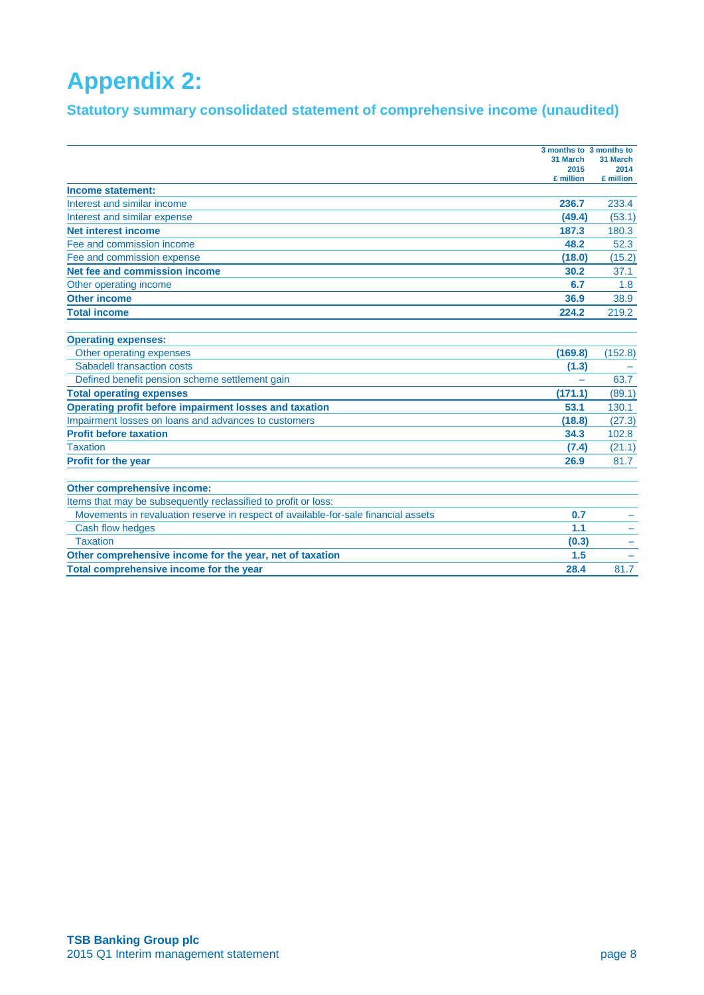# **Appendix 2:**

## **Statutory summary consolidated statement of comprehensive income (unaudited)**

|                                                                                    | 3 months to 3 months to |                  |
|------------------------------------------------------------------------------------|-------------------------|------------------|
|                                                                                    | 31 March                | 31 March<br>2014 |
|                                                                                    | 2015<br>£ million       | £ million        |
| Income statement:                                                                  |                         |                  |
| Interest and similar income                                                        | 236.7                   | 233.4            |
| Interest and similar expense                                                       | (49.4)                  | (53.1)           |
| <b>Net interest income</b>                                                         | 187.3                   | 180.3            |
| Fee and commission income                                                          | 48.2                    | 52.3             |
| Fee and commission expense                                                         | (18.0)                  | (15.2)           |
| Net fee and commission income                                                      | 30.2                    | 37.1             |
| Other operating income                                                             | 6.7                     | 1.8              |
| <b>Other income</b>                                                                | 36.9                    | 38.9             |
| <b>Total income</b>                                                                | 224.2                   | 219.2            |
| <b>Operating expenses:</b>                                                         |                         |                  |
| Other operating expenses                                                           | (169.8)                 | (152.8)          |
| Sabadell transaction costs                                                         | (1.3)                   |                  |
| Defined benefit pension scheme settlement gain                                     |                         | 63.7             |
| <b>Total operating expenses</b>                                                    | (171.1)                 | (89.1)           |
| Operating profit before impairment losses and taxation                             | 53.1                    | 130.1            |
| Impairment losses on loans and advances to customers                               | (18.8)                  | (27.3)           |
| <b>Profit before taxation</b>                                                      | 34.3                    | 102.8            |
| <b>Taxation</b>                                                                    | (7.4)                   | (21.1)           |
| Profit for the year                                                                | 26.9                    | 81.7             |
| Other comprehensive income:                                                        |                         |                  |
| Items that may be subsequently reclassified to profit or loss:                     |                         |                  |
| Movements in revaluation reserve in respect of available-for-sale financial assets | 0.7                     |                  |
| Cash flow hedges                                                                   | 1.1                     |                  |
| <b>Taxation</b>                                                                    | (0.3)                   |                  |
| Other comprehensive income for the year, net of taxation                           | 1.5                     |                  |
| Total comprehensive income for the year                                            | 28.4                    | 81.7             |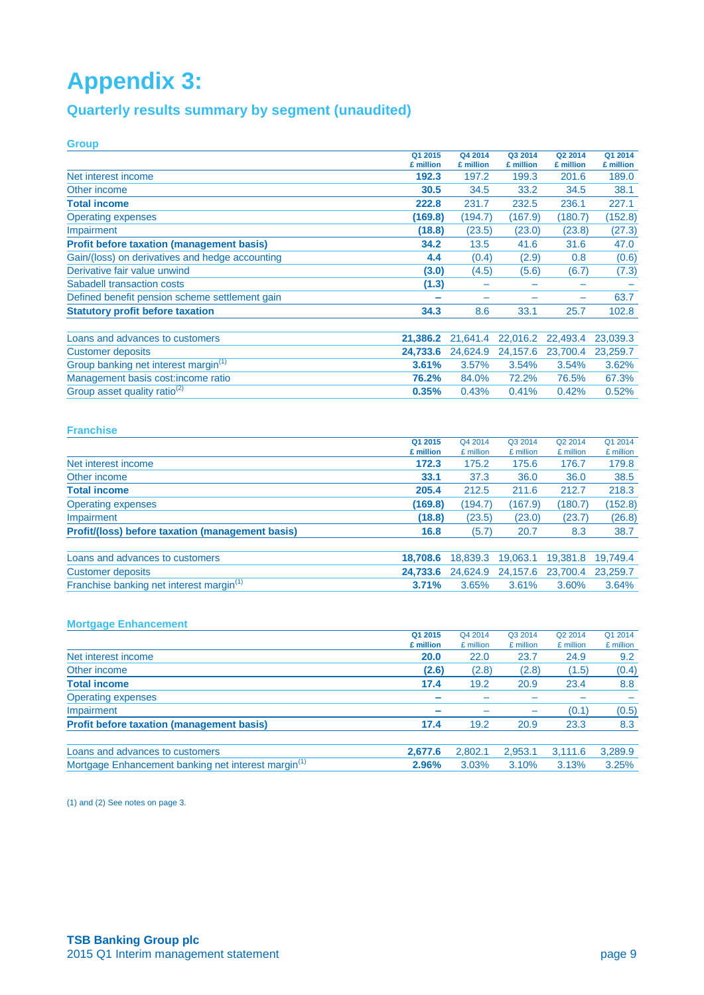# **Appendix 3:**

## **Quarterly results summary by segment (unaudited)**

| <b>Group</b>                                     |                      |                      |                      |                      |                      |
|--------------------------------------------------|----------------------|----------------------|----------------------|----------------------|----------------------|
|                                                  | Q1 2015<br>£ million | Q4 2014<br>£ million | Q3 2014<br>£ million | Q2 2014<br>£ million | Q1 2014<br>£ million |
| Net interest income                              | 192.3                | 197.2                | 199.3                | 201.6                | 189.0                |
| Other income                                     | 30.5                 | 34.5                 | 33.2                 | 34.5                 | 38.1                 |
| <b>Total income</b>                              | 222.8                | 231.7                | 232.5                | 236.1                | 227.1                |
| <b>Operating expenses</b>                        | (169.8)              | (194.7)              | (167.9)              | (180.7)              | (152.8)              |
| Impairment                                       | (18.8)               | (23.5)               | (23.0)               | (23.8)               | (27.3)               |
| <b>Profit before taxation (management basis)</b> | 34.2                 | 13.5                 | 41.6                 | 31.6                 | 47.0                 |
| Gain/(loss) on derivatives and hedge accounting  | 4.4                  | (0.4)                | (2.9)                | 0.8                  | (0.6)                |
| Derivative fair value unwind                     | (3.0)                | (4.5)                | (5.6)                | (6.7)                | (7.3)                |
| Sabadell transaction costs                       | (1.3)                |                      |                      |                      |                      |
| Defined benefit pension scheme settlement gain   |                      |                      |                      | -                    | 63.7                 |
| <b>Statutory profit before taxation</b>          | 34.3                 | 8.6                  | 33.1                 | 25.7                 | 102.8                |
| Loans and advances to customers                  | 21,386.2             | 21,641.4             | 22,016.2             | 22,493.4             | 23,039.3             |
| <b>Customer deposits</b>                         | 24,733.6             | 24,624.9             | 24,157.6             | 23,700.4             | 23,259.7             |
| Group banking net interest margin <sup>(1)</sup> | 3.61%                | 3.57%                | 3.54%                | 3.54%                | 3.62%                |
| Management basis cost: income ratio              | 76.2%                | 84.0%                | 72.2%                | 76.5%                | 67.3%                |
| Group asset quality ratio <sup>(2)</sup>         | 0.35%                | 0.43%                | 0.41%                | 0.42%                | 0.52%                |

### **Franchise**

|                                                      | Q1 2015   | Q4 2014   | Q3 2014   | Q2 2014   | Q1 2014   |
|------------------------------------------------------|-----------|-----------|-----------|-----------|-----------|
|                                                      | £ million | £ million | £ million | £ million | £ million |
| Net interest income                                  | 172.3     | 175.2     | 175.6     | 176.7     | 179.8     |
| Other income                                         | 33.1      | 37.3      | 36.0      | 36.0      | 38.5      |
| <b>Total income</b>                                  | 205.4     | 212.5     | 211.6     | 212.7     | 218.3     |
| <b>Operating expenses</b>                            | (169.8)   | (194.7)   | (167.9)   | (180.7)   | (152.8)   |
| Impairment                                           | (18.8)    | (23.5)    | (23.0)    | (23.7)    | (26.8)    |
| Profit/(loss) before taxation (management basis)     | 16.8      | (5.7)     | 20.7      | 8.3       | 38.7      |
|                                                      |           |           |           |           |           |
| Loans and advances to customers                      | 18,708.6  | 18,839.3  | 19.063.1  | 19,381.8  | 19.749.4  |
| <b>Customer deposits</b>                             | 24.733.6  | 24,624.9  | 24,157.6  | 23,700.4  | 23,259.7  |
| Franchise banking net interest margin <sup>(1)</sup> | 3.71%     | 3.65%     | 3.61%     | 3.60%     | 3.64%     |

### **Mortgage Enhancement**

|                                                                 | Q1 2015                  | Q4 2014   | Q3 2014   | Q2 2014   | Q1 2014   |
|-----------------------------------------------------------------|--------------------------|-----------|-----------|-----------|-----------|
|                                                                 | £ million                | £ million | £ million | £ million | £ million |
| Net interest income                                             | 20.0                     | 22.0      | 23.7      | 24.9      | 9.2       |
| Other income                                                    | (2.6)                    | (2.8)     | (2.8)     | (1.5)     | (0.4)     |
| <b>Total income</b>                                             | 17.4                     | 19.2      | 20.9      | 23.4      | 8.8       |
| <b>Operating expenses</b>                                       | $\overline{\phantom{a}}$ |           |           |           |           |
| Impairment                                                      |                          |           |           | (0.1)     | (0.5)     |
| <b>Profit before taxation (management basis)</b>                | 17.4                     | 19.2      | 20.9      | 23.3      | 8.3       |
| Loans and advances to customers                                 | 2,677.6                  | 2,802.1   | 2,953.1   | 3.111.6   | 3,289.9   |
| Mortgage Enhancement banking net interest margin <sup>(1)</sup> | 2.96%                    | 3.03%     | 3.10%     | 3.13%     | 3.25%     |

(1) and (2) See notes on page 3.